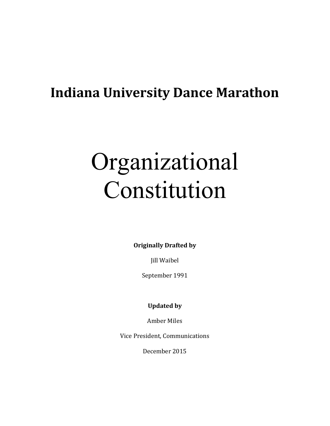# **Indiana University Dance Marathon**

# Organizational Constitution

**Originally Drafted by** 

Jill Waibel

September 1991

**Updated by** 

Amber Miles

Vice President, Communications

December 2015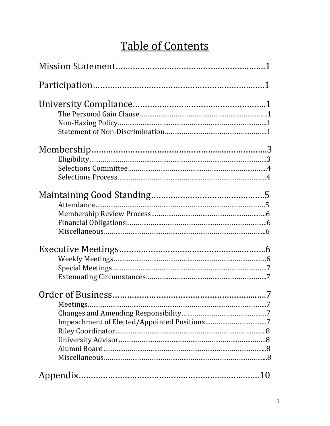# Table of Contents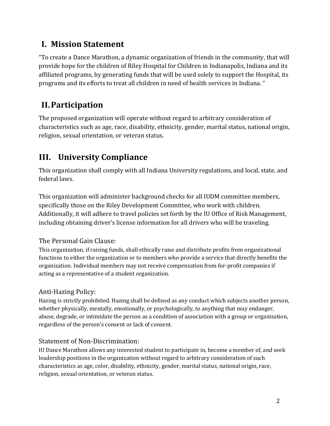### **I. Mission Statement**

"To create a Dance Marathon, a dynamic organization of friends in the community, that will provide hope for the children of Riley Hospital for Children in Indianapolis, Indiana and its affiliated programs, by generating funds that will be used solely to support the Hospital, its programs and its efforts to treat all children in need of health services in Indiana. "

## **II.Participation**

The proposed organization will operate without regard to arbitrary consideration of characteristics such as age, race, disability, ethnicity, gender, marital status, national origin, religion, sexual orientation, or veteran status.

### **III. University Compliance**

This organization shall comply with all Indiana University regulations, and local, state, and federal laws.

This organization will administer background checks for all IUDM committee members, specifically those on the Riley Development Committee, who work with children. Additionally, it will adhere to travel policies set forth by the IU Office of Risk Management, including obtaining driver's license information for all drivers who will be traveling.

#### The Personal Gain Clause:

This organization, if raising funds, shall ethically raise and distribute profits from organizational functions to either the organization or to members who provide a service that directly benefits the organization. Individual members may not receive compensation from for-profit companies if acting as a representative of a student organization.

#### Anti-Hazing Policy:

Hazing is strictly prohibited. Hazing shall be defined as any conduct which subjects another person, whether physically, mentally, emotionally, or psychologically, to anything that may endanger, abuse, degrade, or intimidate the person as a condition of association with a group or organization, regardless of the person's consent or lack of consent.

#### Statement of Non-Discrimination:

IU Dance Marathon allows any interested student to participate in, become a member of, and seek leadership positions in the organization without regard to arbitrary consideration of such characteristics as age, color, disability, ethnicity, gender, marital status, national origin, race, religion, sexual orientation, or veteran status.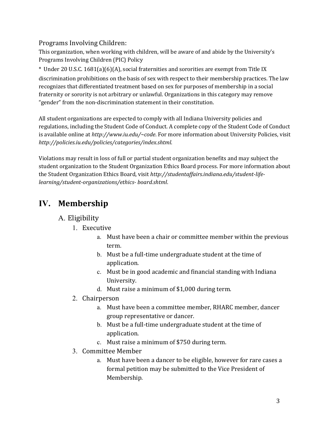#### Programs Involving Children:

This organization, when working with children, will be aware of and abide by the University's Programs Involving Children (PIC) Policy

\* Under 20 U.S.C. 1681(a)(6)(A), social fraternities and sororities are exempt from Title IX discrimination prohibitions on the basis of sex with respect to their membership practices. The law recognizes that differentiated treatment based on sex for purposes of membership in a social fraternity or sorority is not arbitrary or unlawful. Organizations in this category may remove "gender" from the non-discrimination statement in their constitution.

All student organizations are expected to comply with all Indiana University policies and regulations, including the Student Code of Conduct. A complete copy of the Student Code of Conduct is available online at *http://www.iu.edu/~code*. For more information about University Policies, visit *http://policies.iu.edu/policies/categories/index.shtml*.

Violations may result in loss of full or partial student organization benefits and may subject the student organization to the Student Organization Ethics Board process. For more information about the Student Organization Ethics Board, visit *http://studentaffairs.indiana.edu/student-lifelearning/student-organizations/ethics- board.shtml*.

### **IV. Membership**

#### A. Eligibility

- 1. Executive
	- a. Must have been a chair or committee member within the previous term.
	- b. Must be a full-time undergraduate student at the time of application.
	- c. Must be in good academic and financial standing with Indiana University.
	- d. Must raise a minimum of \$1,000 during term.
- 2. Chairperson
	- a. Must have been a committee member, RHARC member, dancer group representative or dancer.
	- b. Must be a full-time undergraduate student at the time of application.
	- c. Must raise a minimum of \$750 during term.
- 3. Committee Member
	- a. Must have been a dancer to be eligible, however for rare cases a formal petition may be submitted to the Vice President of Membership.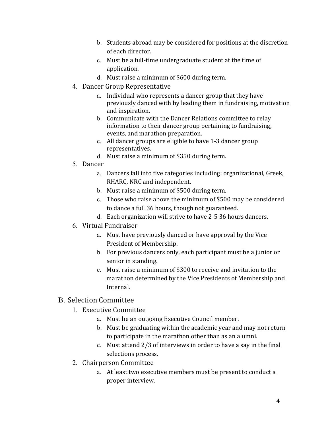- b. Students abroad may be considered for positions at the discretion of each director.
- c. Must be a full-time undergraduate student at the time of application.
- d. Must raise a minimum of \$600 during term.
- 4. Dancer Group Representative
	- a. Individual who represents a dancer group that they have previously danced with by leading them in fundraising, motivation and inspiration.
	- b. Communicate with the Dancer Relations committee to relay information to their dancer group pertaining to fundraising, events, and marathon preparation.
	- c. All dancer groups are eligible to have 1-3 dancer group representatives.
	- d. Must raise a minimum of \$350 during term.
- 5. Dancer
	- a. Dancers fall into five categories including: organizational, Greek, RHARC, NRC and independent.
	- b. Must raise a minimum of \$500 during term.
	- c. Those who raise above the minimum of \$500 may be considered to dance a full 36 hours, though not guaranteed.
	- d. Each organization will strive to have 2-5 36 hours dancers.
- 6. Virtual Fundraiser
	- a. Must have previously danced or have approval by the Vice President of Membership.
	- b. For previous dancers only, each participant must be a junior or senior in standing.
	- c. Must raise a minimum of \$300 to receive and invitation to the marathon determined by the Vice Presidents of Membership and Internal.

#### B. Selection Committee

- 1. Executive Committee
	- a. Must be an outgoing Executive Council member.
	- b. Must be graduating within the academic year and may not return to participate in the marathon other than as an alumni.
	- c. Must attend 2/3 of interviews in order to have a say in the final selections process.
- 2. Chairperson Committee
	- a. At least two executive members must be present to conduct a proper interview.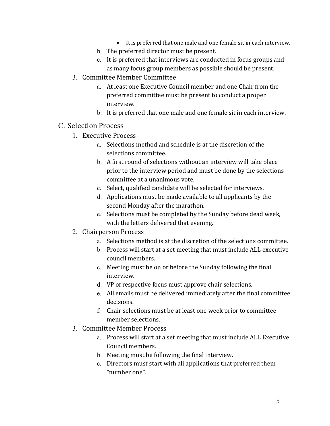- It is preferred that one male and one female sit in each interview.
- b. The preferred director must be present.
- c. It is preferred that interviews are conducted in focus groups and as many focus group members as possible should be present.
- 3. Committee Member Committee
	- a. At least one Executive Council member and one Chair from the preferred committee must be present to conduct a proper interview.
	- b. It is preferred that one male and one female sit in each interview.

#### C. Selection Process

- 1. Executive Process
	- a. Selections method and schedule is at the discretion of the selections committee.
	- b. A first round of selections without an interview will take place prior to the interview period and must be done by the selections committee at a unanimous vote.
	- c. Select, qualified candidate will be selected for interviews.
	- d. Applications must be made available to all applicants by the second Monday after the marathon.
	- e. Selections must be completed by the Sunday before dead week, with the letters delivered that evening.
- 2. Chairperson Process
	- a. Selections method is at the discretion of the selections committee.
	- b. Process will start at a set meeting that must include ALL executive council members.
	- c. Meeting must be on or before the Sunday following the final interview.
	- d. VP of respective focus must approve chair selections.
	- e. All emails must be delivered immediately after the final committee decisions.
	- f. Chair selections must be at least one week prior to committee member selections.
- 3. Committee Member Process
	- a. Process will start at a set meeting that must include ALL Executive Council members.
	- b. Meeting must be following the final interview.
	- c. Directors must start with all applications that preferred them "number one".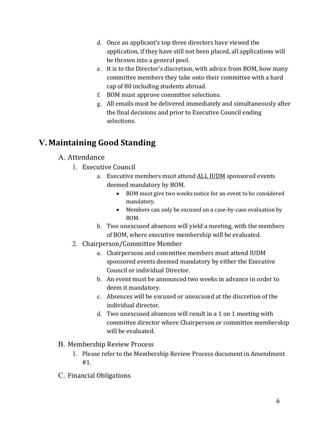- d. Once an applicant's top three directors have viewed the application, if they have still not been placed, all applications will be thrown into a general pool.
- e. It is to the Director's discretion, with advice from BOM, how many committee members they take onto their committee with a hard cap of 80 including students abroad.
- f. BOM must approve committee selections.
- g. All emails must be delivered immediately and simultaneously after the final decisions and prior to Executive Council ending selections.

# **V. Maintaining Good Standing**

#### A. Attendance

- 1. Executive Council
	- a. Executive members must attend ALL IUDM sponsored events deemed mandatory by BOM.
		- BOM must give two weeks notice for an event to be considered mandatory.
		- Members can only be excused on a case-by-case evaluation by BOM.
	- b. Two unexcused absences will yield a meeting, with the members of BOM, where executive membership will be evaluated.
- 2. Chairperson/Committee Member
	- a. Chairpersons and committee members must attend IUDM sponsored events deemed mandatory by either the Executive Council or individual Director.
	- b. An event must be announced two weeks in advance in order to deem it mandatory.
	- c. Absences will be excused or unexcused at the discretion of the individual director.
	- d. Two unexcused absences will result in a 1 on 1 meeting with committee director where Chairperson or committee membership will be evaluated.
- B. Membership Review Process
	- 1. Please refer to the Membership Review Process document in Amendment #1.
- C. Financial Obligations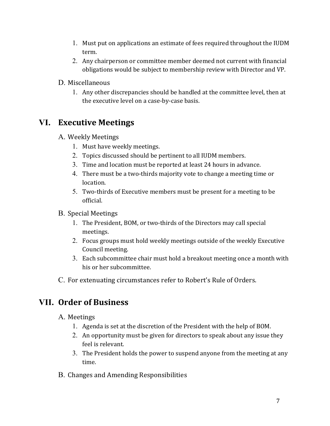- 1. Must put on applications an estimate of fees required throughout the IUDM term.
- 2. Any chairperson or committee member deemed not current with financial obligations would be subject to membership review with Director and VP.
- D. Miscellaneous
	- 1. Any other discrepancies should be handled at the committee level, then at the executive level on a case-by-case basis.

#### **VI. Executive Meetings**

- A. Weekly Meetings
	- 1. Must have weekly meetings.
	- 2. Topics discussed should be pertinent to all IUDM members.
	- 3. Time and location must be reported at least 24 hours in advance.
	- 4. There must be a two-thirds majority vote to change a meeting time or location.
	- 5. Two-thirds of Executive members must be present for a meeting to be official.

#### B. Special Meetings

- 1. The President, BOM, or two-thirds of the Directors may call special meetings.
- 2. Focus groups must hold weekly meetings outside of the weekly Executive Council meeting.
- 3. Each subcommittee chair must hold a breakout meeting once a month with his or her subcommittee.
- C. For extenuating circumstances refer to Robert's Rule of Orders.

#### **VII. Order of Business**

A. Meetings

- 1. Agenda is set at the discretion of the President with the help of BOM.
- 2. An opportunity must be given for directors to speak about any issue they feel is relevant.
- 3. The President holds the power to suspend anyone from the meeting at any time.
- B. Changes and Amending Responsibilities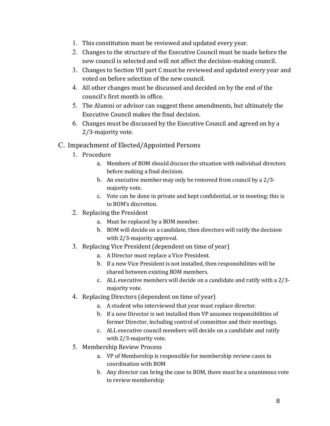- 1. This constitution must be reviewed and updated every year.
- 2. Changes to the structure of the Executive Council must be made before the new council is selected and will not affect the decision-making council.
- 3. Changes to Section VII part C must be reviewed and updated every year and voted on before selection of the new council.
- 4. All other changes must be discussed and decided on by the end of the council's first month in office.
- 5. The Alumni or advisor can suggest these amendments, but ultimately the Executive Council makes the final decision.
- 6. Changes must be discussed by the Executive Council and agreed on by a 2/3-majority vote.
- C. Impeachment of Elected/Appointed Persons
	- 1. Procedure
		- a. Members of BOM should discuss the situation with individual directors before making a final decision.
		- b. An executive member may only be removed from council by a 2/3 majority vote.
		- c. Vote can be done in private and kept confidential, or in meeting; this is to BOM's discretion.
	- 2. Replacing the President
		- a. Must be replaced by a BOM member.
		- b. BOM will decide on a candidate, then directors will ratify the decision with 2/3-majority approval.
	- 3. Replacing Vice President (dependent on time of year)
		- a. A Director must replace a Vice President.
		- b. If a new Vice President is not installed, then responsibilities will be shared between existing BOM members.
		- c. ALL executive members will decide on a candidate and ratify with a 2/3 majority vote.
	- 4. Replacing Directors (dependent on time of year)
		- a. A student who interviewed that year must replace director.
		- b. If a new Director is not installed then VP assumes responsibilities of former Director, including control of committee and their meetings.
		- c. ALL executive council members will decide on a candidate and ratify with 2/3-majority vote.
	- 5. Membership Review Process
		- a. VP of Membership is responsible for membership review cases in coordination with BOM
		- b. Any director can bring the case to BOM, there must be a unanimous vote to review membership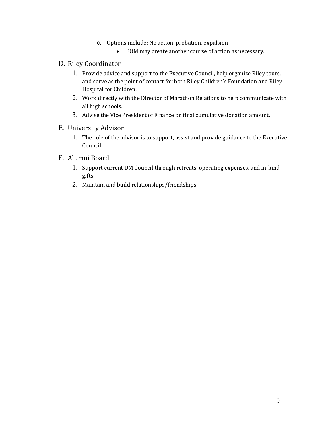- c. Options include: No action, probation, expulsion
	- BOM may create another course of action as necessary.
- D. Riley Coordinator
	- 1. Provide advice and support to the Executive Council, help organize Riley tours, and serve as the point of contact for both Riley Children's Foundation and Riley Hospital for Children.
	- 2. Work directly with the Director of Marathon Relations to help communicate with all high schools.
	- 3. Advise the Vice President of Finance on final cumulative donation amount.
- E. University Advisor
	- 1. The role of the advisor is to support, assist and provide guidance to the Executive Council.
- F. Alumni Board
	- 1. Support current DM Council through retreats, operating expenses, and in-kind gifts
	- 2. Maintain and build relationships/friendships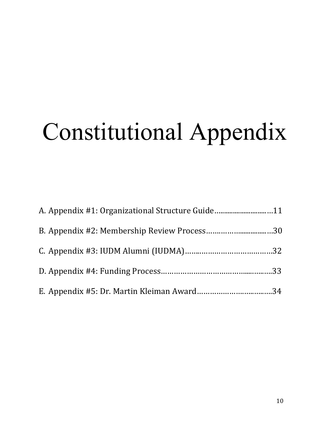# Constitutional Appendix

| A. Appendix #1: Organizational Structure Guide11 |  |
|--------------------------------------------------|--|
|                                                  |  |
|                                                  |  |
|                                                  |  |
|                                                  |  |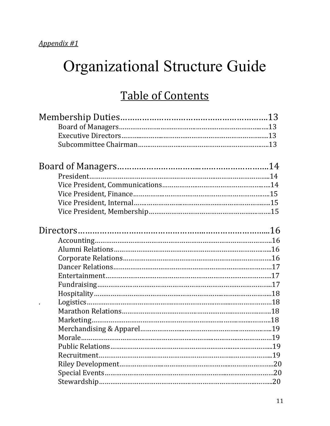# Organizational Structure Guide

# Table of Contents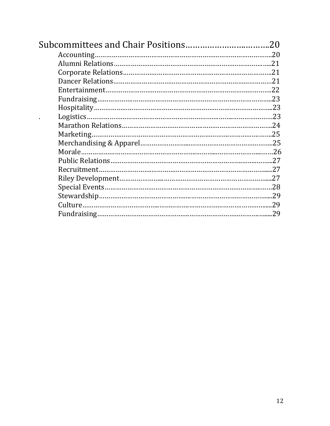| -20 |
|-----|
|     |
|     |
|     |
|     |
|     |
|     |
|     |
|     |
|     |
|     |
|     |
|     |
|     |
|     |
|     |
|     |
|     |
|     |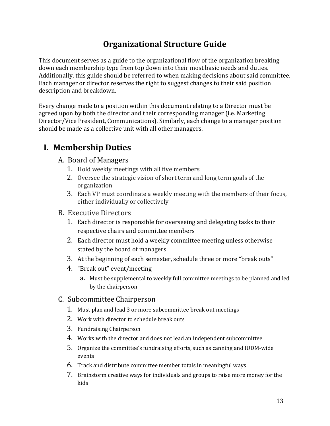### **Organizational Structure Guide**

This document serves as a guide to the organizational flow of the organization breaking down each membership type from top down into their most basic needs and duties. Additionally, this guide should be referred to when making decisions about said committee. Each manager or director reserves the right to suggest changes to their said position description and breakdown.

Every change made to a position within this document relating to a Director must be agreed upon by both the director and their corresponding manager (i.e. Marketing Director/Vice President, Communications). Similarly, each change to a manager position should be made as a collective unit with all other managers.

## **I. Membership Duties**

#### A. Board of Managers

- 1. Hold weekly meetings with all five members
- 2. Oversee the strategic vision of short term and long term goals of the organization
- 3. Each VP must coordinate a weekly meeting with the members of their focus, either individually or collectively
- B. Executive Directors
	- 1. Each director is responsible for overseeing and delegating tasks to their respective chairs and committee members
	- 2. Each director must hold a weekly committee meeting unless otherwise stated by the board of managers
	- 3. At the beginning of each semester, schedule three or more "break outs"
	- 4. "Break out" event/meeting
		- a. Must be supplemental to weekly full committee meetings to be planned and led by the chairperson
- C. Subcommittee Chairperson
	- 1. Must plan and lead 3 or more subcommittee break out meetings
	- 2. Work with director to schedule break outs
	- 3. Fundraising Chairperson
	- 4. Works with the director and does not lead an independent subcommittee
	- 5. Organize the committee's fundraising efforts, such as canning and IUDM-wide events
	- 6. Track and distribute committee member totals in meaningful ways
	- 7. Brainstorm creative ways for individuals and groups to raise more money for the kids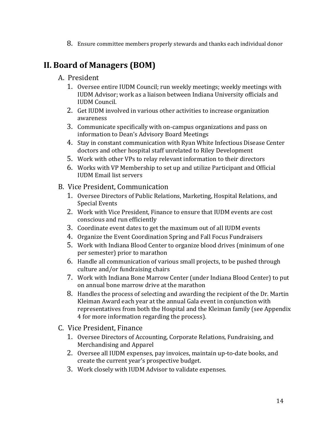8. Ensure committee members properly stewards and thanks each individual donor

## **II. Board of Managers (BOM)**

- A. President
	- 1. Oversee entire IUDM Council; run weekly meetings; weekly meetings with IUDM Advisor; work as a liaison between Indiana University officials and IUDM Council.
	- 2. Get IUDM involved in various other activities to increase organization awareness
	- 3. Communicate specifically with on-campus organizations and pass on information to Dean's Advisory Board Meetings
	- 4. Stay in constant communication with Ryan White Infectious Disease Center doctors and other hospital staff unrelated to Riley Development
	- 5. Work with other VPs to relay relevant information to their directors
	- 6. Works with VP Membership to set up and utilize Participant and Official IUDM Email list servers
- B. Vice President, Communication
	- 1. Oversee Directors of Public Relations, Marketing, Hospital Relations, and Special Events
	- 2. Work with Vice President, Finance to ensure that IUDM events are cost conscious and run efficiently
	- 3. Coordinate event dates to get the maximum out of all IUDM events
	- 4. Organize the Event Coordination Spring and Fall Focus Fundraisers
	- 5. Work with Indiana Blood Center to organize blood drives (minimum of one per semester) prior to marathon
	- 6. Handle all communication of various small projects, to be pushed through culture and/or fundraising chairs
	- 7. Work with Indiana Bone Marrow Center (under Indiana Blood Center) to put on annual bone marrow drive at the marathon
	- 8. Handles the process of selecting and awarding the recipient of the Dr. Martin Kleiman Award each year at the annual Gala event in conjunction with representatives from both the Hospital and the Kleiman family (see Appendix 4 for more information regarding the process).
- C. Vice President, Finance
	- 1. Oversee Directors of Accounting, Corporate Relations, Fundraising, and Merchandising and Apparel
	- 2. Oversee all IUDM expenses, pay invoices, maintain up-to-date books, and create the current year's prospective budget.
	- 3. Work closely with IUDM Advisor to validate expenses.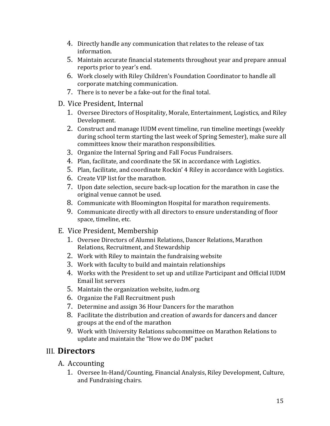- 4. Directly handle any communication that relates to the release of tax information.
- 5. Maintain accurate financial statements throughout year and prepare annual reports prior to year's end.
- 6. Work closely with Riley Children's Foundation Coordinator to handle all corporate matching communication.
- 7. There is to never be a fake-out for the final total.
- D. Vice President, Internal
	- 1. Oversee Directors of Hospitality, Morale, Entertainment, Logistics, and Riley Development.
	- 2. Construct and manage IUDM event timeline, run timeline meetings (weekly during school term starting the last week of Spring Semester), make sure all committees know their marathon responsibilities.
	- 3. Organize the Internal Spring and Fall Focus Fundraisers.
	- 4. Plan, facilitate, and coordinate the 5K in accordance with Logistics.
	- 5. Plan, facilitate, and coordinate Rockin' 4 Riley in accordance with Logistics.
	- 6. Create VIP list for the marathon.
	- 7. Upon date selection, secure back-up location for the marathon in case the original venue cannot be used.
	- 8. Communicate with Bloomington Hospital for marathon requirements.
	- 9. Communicate directly with all directors to ensure understanding of floor space, timeline, etc.
- E. Vice President, Membership
	- 1. Oversee Directors of Alumni Relations, Dancer Relations, Marathon Relations, Recruitment, and Stewardship
	- 2. Work with Riley to maintain the fundraising website
	- 3. Work with faculty to build and maintain relationships
	- 4. Works with the President to set up and utilize Participant and Official IUDM Email list servers
	- 5. Maintain the organization website, iudm.org
	- 6. Organize the Fall Recruitment push
	- 7. Determine and assign 36 Hour Dancers for the marathon
	- 8. Facilitate the distribution and creation of awards for dancers and dancer groups at the end of the marathon
	- 9. Work with University Relations subcommittee on Marathon Relations to update and maintain the "How we do DM" packet

#### III. **Directors**

- A. Accounting
	- 1. Oversee In-Hand/Counting, Financial Analysis, Riley Development, Culture, and Fundraising chairs.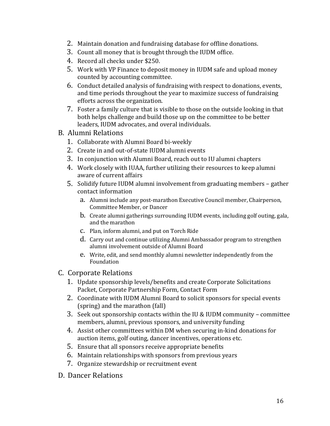- 2. Maintain donation and fundraising database for offline donations.
- 3. Count all money that is brought through the IUDM office.
- 4. Record all checks under \$250.
- 5. Work with VP Finance to deposit money in IUDM safe and upload money counted by accounting committee.
- 6. Conduct detailed analysis of fundraising with respect to donations, events, and time periods throughout the year to maximize success of fundraising efforts across the organization.
- 7. Foster a family culture that is visible to those on the outside looking in that both helps challenge and build those up on the committee to be better leaders, IUDM advocates, and overal individuals.
- B. Alumni Relations
	- 1. Collaborate with Alumni Board bi-weekly
	- 2. Create in and out-of-state IUDM alumni events
	- 3. In conjunction with Alumni Board, reach out to IU alumni chapters
	- 4. Work closely with IUAA, further utilizing their resources to keep alumni aware of current affairs
	- 5. Solidify future IUDM alumni involvement from graduating members gather contact information
		- a. Alumni include any post-marathon Executive Council member, Chairperson, Committee Member, or Dancer
		- b. Create alumni gatherings surrounding IUDM events, including golf outing, gala, and the marathon
		- c. Plan, inform alumni, and put on Torch Ride
		- d. Carry out and continue utilizing Alumni Ambassador program to strengthen alumni involvement outside of Alumni Board
		- e. Write, edit, and send monthly alumni newsletter independently from the Foundation
- C. Corporate Relations
	- 1. Update sponsorship levels/benefits and create Corporate Solicitations Packet, Corporate Partnership Form, Contact Form
	- 2. Coordinate with IUDM Alumni Board to solicit sponsors for special events (spring) and the marathon (fall)
	- 3. Seek out sponsorship contacts within the IU & IUDM community committee members, alumni, previous sponsors, and university funding
	- 4. Assist other committees within DM when securing in-kind donations for auction items, golf outing, dancer incentives, operations etc.
	- 5. Ensure that all sponsors receive appropriate benefits
	- 6. Maintain relationships with sponsors from previous years
	- 7. Organize stewardship or recruitment event
- D. Dancer Relations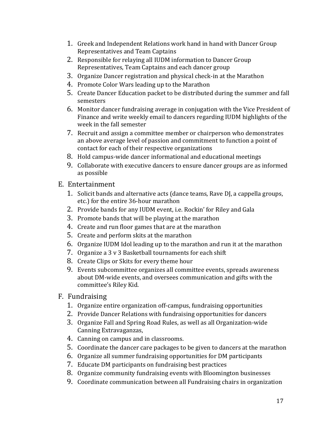- 1. Greek and Independent Relations work hand in hand with Dancer Group Representatives and Team Captains
- 2. Responsible for relaying all IUDM information to Dancer Group Representatives, Team Captains and each dancer group
- 3. Organize Dancer registration and physical check-in at the Marathon
- 4. Promote Color Wars leading up to the Marathon
- 5. Create Dancer Education packet to be distributed during the summer and fall semesters
- 6. Monitor dancer fundraising average in conjugation with the Vice President of Finance and write weekly email to dancers regarding IUDM highlights of the week in the fall semester
- 7. Recruit and assign a committee member or chairperson who demonstrates an above average level of passion and commitment to function a point of contact for each of their respective organizations
- 8. Hold campus-wide dancer informational and educational meetings
- 9. Collaborate with executive dancers to ensure dancer groups are as informed as possible
- E. Entertainment
	- 1. Solicit bands and alternative acts (dance teams, Rave DJ, a cappella groups, etc.) for the entire 36-hour marathon
	- 2. Provide bands for any IUDM event, i.e. Rockin' for Riley and Gala
	- 3. Promote bands that will be playing at the marathon
	- 4. Create and run floor games that are at the marathon
	- 5. Create and perform skits at the marathon
	- 6. Organize IUDM Idol leading up to the marathon and run it at the marathon
	- 7. Organize a 3 v 3 Basketball tournaments for each shift
	- 8. Create Clips or Skits for every theme hour
	- 9. Events subcommittee organizes all committee events, spreads awareness about DM-wide events, and oversees communication and gifts with the committee's Riley Kid.
- F. Fundraising
	- 1. Organize entire organization off-campus, fundraising opportunities
	- 2. Provide Dancer Relations with fundraising opportunities for dancers
	- 3. Organize Fall and Spring Road Rules, as well as all Organization-wide Canning Extravaganzas,
	- 4. Canning on campus and in classrooms.
	- 5. Coordinate the dancer care packages to be given to dancers at the marathon
	- 6. Organize all summer fundraising opportunities for DM participants
	- 7. Educate DM participants on fundraising best practices
	- 8. Organize community fundraising events with Bloomington businesses
	- 9. Coordinate communication between all Fundraising chairs in organization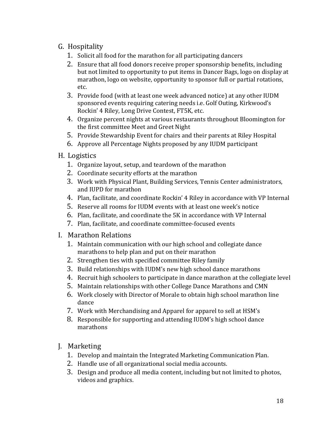#### G. Hospitality

- 1. Solicit all food for the marathon for all participating dancers
- 2. Ensure that all food donors receive proper sponsorship benefits, including but not limited to opportunity to put items in Dancer Bags, logo on display at marathon, logo on website, opportunity to sponsor full or partial rotations, etc.
- 3. Provide food (with at least one week advanced notice) at any other IUDM sponsored events requiring catering needs i.e. Golf Outing, Kirkwood's Rockin' 4 Riley, Long Drive Contest, FT5K, etc.
- 4. Organize percent nights at various restaurants throughout Bloomington for the first committee Meet and Greet Night
- 5. Provide Stewardship Event for chairs and their parents at Riley Hospital
- 6. Approve all Percentage Nights proposed by any IUDM participant
- H. Logistics
	- 1. Organize layout, setup, and teardown of the marathon
	- 2. Coordinate security efforts at the marathon
	- 3. Work with Physical Plant, Building Services, Tennis Center administrators, and IUPD for marathon
	- 4. Plan, facilitate, and coordinate Rockin' 4 Riley in accordance with VP Internal
	- 5. Reserve all rooms for IUDM events with at least one week's notice
	- 6. Plan, facilitate, and coordinate the 5K in accordance with VP Internal
	- 7. Plan, facilitate, and coordinate committee-focused events
- I. Marathon Relations
	- 1. Maintain communication with our high school and collegiate dance marathons to help plan and put on their marathon
	- 2. Strengthen ties with specified committee Riley family
	- 3. Build relationships with IUDM's new high school dance marathons
	- 4. Recruit high schoolers to participate in dance marathon at the collegiate level
	- 5. Maintain relationships with other College Dance Marathons and CMN
	- 6. Work closely with Director of Morale to obtain high school marathon line dance
	- 7. Work with Merchandising and Apparel for apparel to sell at HSM's
	- 8. Responsible for supporting and attending IUDM's high school dance marathons

#### J. Marketing

- 1. Develop and maintain the Integrated Marketing Communication Plan.
- 2. Handle use of all organizational social media accounts.
- 3. Design and produce all media content, including but not limited to photos, videos and graphics.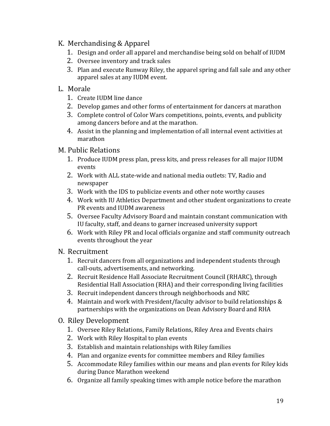#### K. Merchandising & Apparel

- 1. Design and order all apparel and merchandise being sold on behalf of IUDM
- 2. Oversee inventory and track sales
- 3. Plan and execute Runway Riley, the apparel spring and fall sale and any other apparel sales at any IUDM event.

#### L. Morale

- 1. Create IUDM line dance
- 2. Develop games and other forms of entertainment for dancers at marathon
- 3. Complete control of Color Wars competitions, points, events, and publicity among dancers before and at the marathon.
- 4. Assist in the planning and implementation of all internal event activities at marathon

#### M. Public Relations

- 1. Produce IUDM press plan, press kits, and press releases for all major IUDM events
- 2. Work with ALL state-wide and national media outlets: TV, Radio and newspaper
- 3. Work with the IDS to publicize events and other note worthy causes
- 4. Work with IU Athletics Department and other student organizations to create PR events and IUDM awareness
- 5. Oversee Faculty Advisory Board and maintain constant communication with IU faculty, staff, and deans to garner increased university support
- 6. Work with Riley PR and local officials organize and staff community outreach events throughout the year

#### N. Recruitment

- 1. Recruit dancers from all organizations and independent students through call-outs, advertisements, and networking.
- 2. Recruit Residence Hall Associate Recruitment Council (RHARC), through Residential Hall Association (RHA) and their corresponding living facilities
- 3. Recruit independent dancers through neighborhoods and NRC
- 4. Maintain and work with President/faculty advisor to build relationships & partnerships with the organizations on Dean Advisory Board and RHA

#### O. Riley Development

- 1. Oversee Riley Relations, Family Relations, Riley Area and Events chairs
- 2. Work with Riley Hospital to plan events
- 3. Establish and maintain relationships with Riley families
- 4. Plan and organize events for committee members and Riley families
- 5. Accommodate Riley families within our means and plan events for Riley kids during Dance Marathon weekend
- 6. Organize all family speaking times with ample notice before the marathon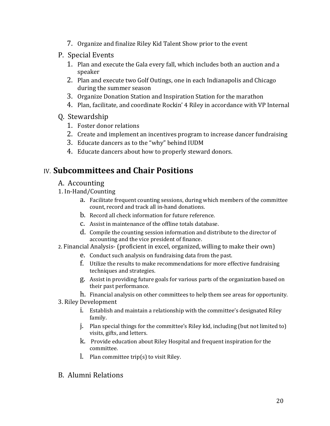- 7. Organize and finalize Riley Kid Talent Show prior to the event
- P. Special Events
	- 1. Plan and execute the Gala every fall, which includes both an auction and a speaker
	- 2. Plan and execute two Golf Outings, one in each Indianapolis and Chicago during the summer season
	- 3. Organize Donation Station and Inspiration Station for the marathon
	- 4. Plan, facilitate, and coordinate Rockin' 4 Riley in accordance with VP Internal
- Q. Stewardship
	- 1. Foster donor relations
	- 2. Create and implement an incentives program to increase dancer fundraising
	- 3. Educate dancers as to the "why" behind IUDM
	- 4. Educate dancers about how to properly steward donors.

#### IV. **Subcommittees and Chair Positions**

- A. Accounting
- 1. In-Hand/Counting
	- a. Facilitate frequent counting sessions, during which members of the committee count, record and track all in-hand donations.
	- b. Record all check information for future reference.
	- c. Assist in maintenance of the offline totals database.
	- d. Compile the counting session information and distribute to the director of accounting and the vice president of finance.
- 2. Financial Analysis- (proficient in excel, organized, willing to make their own)
	- e. Conduct such analysis on fundraising data from the past.
	- f. Utilize the results to make recommendations for more effective fundraising techniques and strategies.
	- g. Assist in providing future goals for various parts of the organization based on their past performance.
	- h. Financial analysis on other committees to help them see areas for opportunity.
- 3. Riley Development
	- i. Establish and maintain a relationship with the committee's designated Riley family.
	- j. Plan special things for the committee's Riley kid, including (but not limited to) visits, gifts, and letters.
	- k. Provide education about Riley Hospital and frequent inspiration for the committee.
	- l. Plan committee trip(s) to visit Riley.
- B. Alumni Relations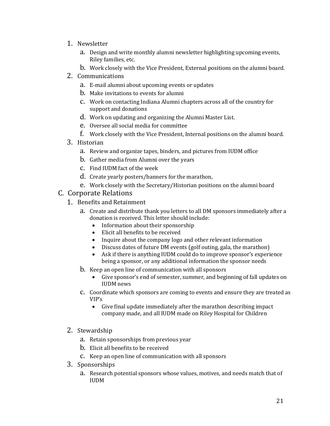- 1. Newsletter
	- a. Design and write monthly alumni newsletter highlighting upcoming events, Riley families, etc.
	- b. Work closely with the Vice President, External positions on the alumni board.
- 2. Communications
	- a. E-mail alumni about upcoming events or updates
	- b. Make invitations to events for alumni
	- c. Work on contacting Indiana Alumni chapters across all of the country for support and donations
	- d. Work on updating and organizing the Alumni Master List.
	- e. Oversee all social media for committee
	- f. Work closely with the Vice President, Internal positions on the alumni board.
- 3. Historian
	- a. Review and organize tapes, binders, and pictures from IUDM office
	- b. Gather media from Alumni over the years
	- c. Find IUDM fact of the week
	- d. Create yearly posters/banners for the marathon,
	- e. Work closely with the Secretary/Historian positions on the alumni board
- C. Corporate Relations
	- 1. Benefits and Retainment
		- a. Create and distribute thank you letters to all DM sponsors immediately after a donation is received. This letter should include:
			- Information about their sponsorship
			- Elicit all benefits to be received
			- Inquire about the company logo and other relevant information
			- Discuss dates of future DM events (golf outing, gala, the marathon)
			- Ask if there is anything IUDM could do to improve sponsor's experience being a sponsor, or any additional information the sponsor needs
		- b. Keep an open line of communication with all sponsors
			- Give sponsor's end of semester, summer, and beginning of fall updates on IUDM news
		- c. Coordinate which sponsors are coming to events and ensure they are treated as VIP's
			- Give final update immediately after the marathon describing impact company made, and all IUDM made on Riley Hospital for Children
	- 2. Stewardship
		- a. Retain sponsorships from previous year
		- b. Elicit all benefits to be received
		- c. Keep an open line of communication with all sponsors
	- 3. Sponsorships
		- a. Research potential sponsors whose values, motives, and needs match that of IUDM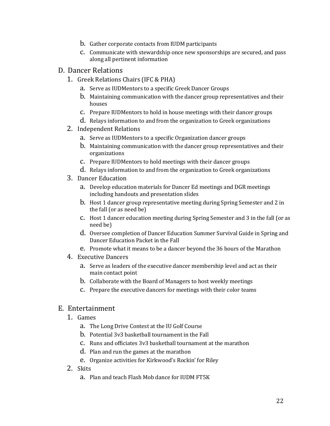- b. Gather corporate contacts from IUDM participants
- c. Communicate with stewardship once new sponsorships are secured, and pass along all pertinent information
- D. Dancer Relations
	- 1. Greek Relations Chairs (IFC & PHA)
		- a. Serve as IUDMentors to a specific Greek Dancer Groups
		- b. Maintaining communication with the dancer group representatives and their houses
		- c. Prepare IUDMentors to hold in house meetings with their dancer groups
		- d. Relays information to and from the organization to Greek organizations
	- 2. Independent Relations
		- a. Serve as IUDMentors to a specific Organization dancer groups
		- b. Maintaining communication with the dancer group representatives and their organizations
		- c. Prepare IUDMentors to hold meetings with their dancer groups
		- d. Relays information to and from the organization to Greek organizations
	- 3. Dancer Education
		- a. Develop education materials for Dancer Ed meetings and DGR meetings including handouts and presentation slides
		- b. Host 1 dancer group representative meeting during Spring Semester and 2 in the fall (or as need be)
		- c. Host 1 dancer education meeting during Spring Semester and 3 in the fall (or as need be)
		- d. Oversee completion of Dancer Education Summer Survival Guide in Spring and Dancer Education Packet in the Fall
		- e. Promote what it means to be a dancer beyond the 36 hours of the Marathon
	- 4. Executive Dancers
		- a. Serve as leaders of the executive dancer membership level and act as their main contact point
		- b. Collaborate with the Board of Managers to host weekly meetings
		- c. Prepare the executive dancers for meetings with their color teams

#### E. Entertainment

- 1. Games
	- a. The Long Drive Contest at the IU Golf Course
	- b. Potential 3v3 basketball tournament in the Fall
	- c. Runs and officiates 3v3 basketball tournament at the marathon
	- d. Plan and run the games at the marathon
	- e. Organize activities for Kirkwood's Rockin' for Riley
- 2. Skits
	- a. Plan and teach Flash Mob dance for IUDM FT5K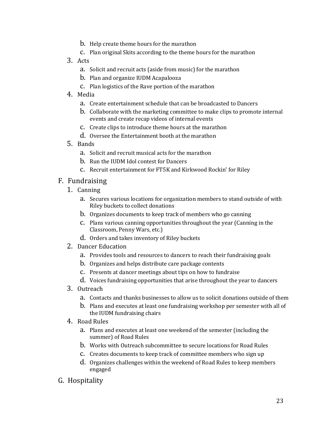- b. Help create theme hours for the marathon
- c. Plan original Skits according to the theme hours for the marathon
- 3. Acts
	- a. Solicit and recruit acts (aside from music) for the marathon
	- b. Plan and organize IUDM Acapalooza
	- c. Plan logistics of the Rave portion of the marathon
- 4. Media
	- a. Create entertainment schedule that can be broadcasted to Dancers
	- b. Collaborate with the marketing committee to make clips to promote internal events and create recap videos of internal events
	- c. Create clips to introduce theme hours at the marathon
	- d. Oversee the Entertainment booth at the marathon
- 5. Bands
	- a. Solicit and recruit musical acts for the marathon
	- b. Run the IUDM Idol contest for Dancers
	- c. Recruit entertainment for FT5K and Kirkwood Rockin' for Riley

#### F. Fundraising

- 1. Canning
	- a. Secures various locations for organization members to stand outside of with Riley buckets to collect donations
	- b. Organizes documents to keep track of members who go canning
	- c. Plans various canning opportunities throughout the year (Canning in the Classroom, Penny Wars, etc.)
	- d. Orders and takes inventory of Riley buckets
- 2. Dancer Education
	- a. Provides tools and resources to dancers to reach their fundraising goals
	- b. Organizes and helps distribute care package contents
	- c. Presents at dancer meetings about tips on how to fundraise
	- d. Voices fundraising opportunities that arise throughout the year to dancers
- 3. Outreach
	- a. Contacts and thanks businesses to allow us to solicit donations outside of them
	- b. Plans and executes at least one fundraising workshop per semester with all of the IUDM fundraising chairs
- 4. Road Rules
	- a. Plans and executes at least one weekend of the semester (including the summer) of Road Rules
	- b. Works with Outreach subcommittee to secure locations for Road Rules
	- c. Creates documents to keep track of committee members who sign up
	- d. Organizes challenges within the weekend of Road Rules to keep members engaged
- G. Hospitality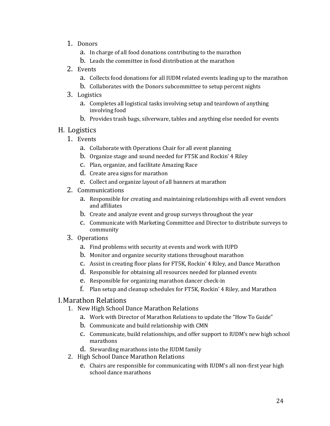- 1. Donors
	- a. In charge of all food donations contributing to the marathon
	- b. Leads the committee in food distribution at the marathon
- 2. Events
	- a. Collects food donations for all IUDM related events leading up to the marathon
	- b. Collaborates with the Donors subcommittee to setup percent nights
- 3. Logistics
	- a. Completes all logistical tasks involving setup and teardown of anything involving food
	- b. Provides trash bags, silverware, tables and anything else needed for events

#### H. Logistics

- 1. Events
	- a. Collaborate with Operations Chair for all event planning
	- b. Organize stage and sound needed for FT5K and Rockin' 4 Riley
	- c. Plan, organize, and facilitate Amazing Race
	- d. Create area signs for marathon
	- e. Collect and organize layout of all banners at marathon
- 2. Communications
	- a. Responsible for creating and maintaining relationships with all event vendors and affiliates
	- b. Create and analyze event and group surveys throughout the year
	- c. Communicate with Marketing Committee and Director to distribute surveys to community
- 3. Operations
	- a. Find problems with security at events and work with IUPD
	- b. Monitor and organize security stations throughout marathon
	- c. Assist in creating floor plans for FT5K, Rockin' 4 Riley, and Dance Marathon
	- d. Responsible for obtaining all resources needed for planned events
	- e. Responsible for organizing marathon dancer check-in
	- f. Plan setup and cleanup schedules for FT5K, Rockin' 4 Riley, and Marathon

#### I.Marathon Relations

- 1. New High School Dance Marathon Relations
	- a. Work with Director of Marathon Relations to update the "How To Guide"
	- b. Communicate and build relationship with CMN
	- c. Communicate, build relationships, and offer support to IUDM's new high school marathons
	- d. Stewarding marathons into the IUDM family
- 2. High School Dance Marathon Relations
	- e. Chairs are responsible for communicating with IUDM's all non-first year high school dance marathons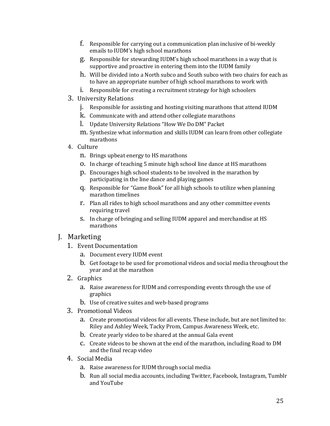- f. Responsible for carrying out a communication plan inclusive of bi-weekly emails to IUDM's high school marathons
- g. Responsible for stewarding IUDM's high school marathons in a way that is supportive and proactive in entering them into the IUDM family
- h. Will be divided into a North subco and South subco with two chairs for each as to have an appropriate number of high school marathons to work with
- i. Responsible for creating a recruitment strategy for high schoolers
- 3. University Relations
	- j. Responsible for assisting and hosting visiting marathons that attend IUDM
	- k. Communicate with and attend other collegiate marathons
	- l. Update University Relations "How We Do DM" Packet
	- m. Synthesize what information and skills IUDM can learn from other collegiate marathons
- 4. Culture
	- n. Brings upbeat energy to HS marathons
	- o. In charge of teaching 5 minute high school line dance at HS marathons
	- p. Encourages high school students to be involved in the marathon by participating in the line dance and playing games
	- q. Responsible for "Game Book" for all high schools to utilize when planning marathon timelines
	- r. Plan all rides to high school marathons and any other committee events requiring travel
	- s. In charge of bringing and selling IUDM apparel and merchandise at HS marathons

#### J. Marketing

- 1. Event Documentation
	- a. Document every IUDM event
	- b. Get footage to be used for promotional videos and social media throughout the year and at the marathon
- 2. Graphics
	- a. Raise awareness for IUDM and corresponding events through the use of graphics
	- b. Use of creative suites and web-based programs
- 3. Promotional Videos
	- a. Create promotional videos for all events. These include, but are not limited to: Riley and Ashley Week, Tacky Prom, Campus Awareness Week, etc.
	- b. Create yearly video to be shared at the annual Gala event
	- c. Create videos to be shown at the end of the marathon, including Road to DM and the final recap video
- 4. Social Media
	- a. Raise awareness for IUDM through social media
	- b. Run all social media accounts, including Twitter, Facebook, Instagram, Tumblr and YouTube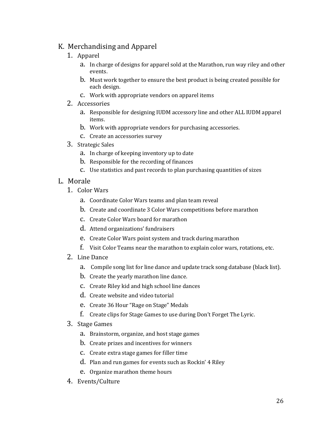#### K. Merchandising and Apparel

- 1. Apparel
	- a. In charge of designs for apparel sold at the Marathon, run way riley and other events.
	- b. Must work together to ensure the best product is being created possible for each design.
	- c. Work with appropriate vendors on apparel items
- 2. Accessories
	- a. Responsible for designing IUDM accessory line and other ALL IUDM apparel items.
	- b. Work with appropriate vendors for purchasing accessories.
	- c. Create an accessories survey
- 3. Strategic Sales
	- a. In charge of keeping inventory up to date
	- b. Responsible for the recording of finances
	- c. Use statistics and past records to plan purchasing quantities of sizes
- L. Morale
	- 1. Color Wars
		- a. Coordinate Color Wars teams and plan team reveal
		- b. Create and coordinate 3 Color Wars competitions before marathon
		- c. Create Color Wars board for marathon
		- d. Attend organizations' fundraisers
		- e. Create Color Wars point system and track during marathon
		- f. Visit Color Teams near the marathon to explain color wars, rotations, etc.
	- 2. Line Dance
		- a. Compile song list for line dance and update track song database (black list).
		- b. Create the yearly marathon line dance.
		- c. Create Riley kid and high school line dances
		- d. Create website and video tutorial
		- e. Create 36 Hour "Rage on Stage" Medals
		- f. Create clips for Stage Games to use during Don't Forget The Lyric.
	- 3. Stage Games
		- a. Brainstorm, organize, and host stage games
		- b. Create prizes and incentives for winners
		- c. Create extra stage games for filler time
		- d. Plan and run games for events such as Rockin' 4 Riley
		- e. Organize marathon theme hours
	- 4. Events/Culture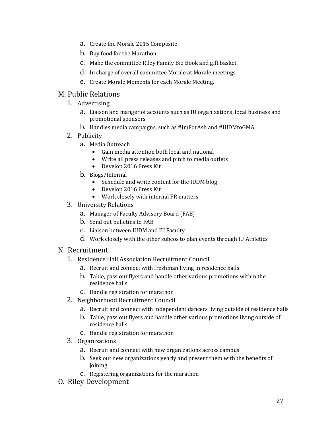- a. Create the Morale 2015 Composite.
- b. Buy food for the Marathon.
- c. Make the committee Riley Family Bio Book and gift basket.
- d. In charge of overall committee Morale at Morale meetings.
- e. Create Morale Moments for each Morale Meeting.

#### M. Public Relations

- 1. Advertising
	- a. Liaison and manger of accounts such as IU organizations, local business and promotional sponsors
	- b. Handles media campaigns, such as #ImForAsh and #IUDMtoGMA
- 2. Publicity
	- a. Media Outreach
		- Gain media attention both local and national
		- Write all press releases and pitch to media outlets
		- Develop 2016 Press Kit
	- b. Blogs/Internal
		- Schedule and write content for the IUDM blog
		- Develop 2016 Press Kit
		- Work closely with internal PR matters
- 3. University Relations
	- a. Manager of Faculty Advisory Board (FAB)
	- b. Send out bulletins to FAB
	- c. Liaison between IUDM and IU Faculty
	- d. Work closely with the other subcos to plan events through IU Athletics

#### N. Recruitment

- 1. Residence Hall Association Recruitment Council
	- a. Recruit and connect with freshman living in residence halls
	- b. Table, pass out flyers and handle other various promotions within the residence halls
	- c. Handle registration for marathon
- 2. Neighborhood Recruitment Council
	- a. Recruit and connect with independent dancers living outside of residence halls
	- b. Table, pass out flyers and handle other various promotions living outside of residence halls
	- c. Handle registration for marathon
- 3. Organizations
	- a. Recruit and connect with new organizations across campus
	- b. Seek out new organizations yearly and present them with the benefits of joining
	- c. Registering organizations for the marathon
- O. Riley Development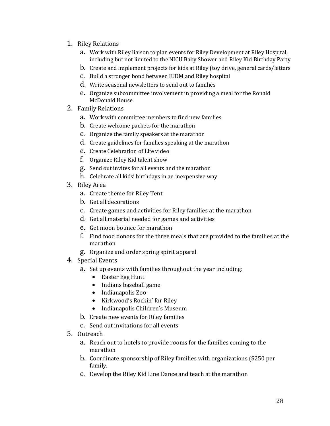- 1. Riley Relations
	- a. Work with Riley liaison to plan events for Riley Development at Riley Hospital, including but not limited to the NICU Baby Shower and Riley Kid Birthday Party
	- b. Create and implement projects for kids at Riley (toy drive, general cards/letters
	- c. Build a stronger bond between IUDM and Riley hospital
	- d. Write seasonal newsletters to send out to families
	- e. Organize subcommittee involvement in providing a meal for the Ronald McDonald House
- 2. Family Relations
	- a. Work with committee members to find new families
	- b. Create welcome packets for the marathon
	- c. Organize the family speakers at the marathon
	- d. Create guidelines for families speaking at the marathon
	- e. Create Celebration of Life video
	- f. Organize Riley Kid talent show
	- g. Send out invites for all events and the marathon
	- h. Celebrate all kids' birthdays in an inexpensive way
- 3. Riley Area
	- a. Create theme for Riley Tent
	- b. Get all decorations
	- c. Create games and activities for Riley families at the marathon
	- d. Get all material needed for games and activities
	- e. Get moon bounce for marathon
	- f. Find food donors for the three meals that are provided to the families at the marathon
	- g. Organize and order spring spirit apparel
- 4. Special Events
	- a. Set up events with families throughout the year including:
		- Easter Egg Hunt
		- Indians baseball game
		- Indianapolis Zoo
		- Kirkwood's Rockin' for Riley
		- Indianapolis Children's Museum
	- b. Create new events for Riley families
	- c. Send out invitations for all events
- 5. Outreach
	- a. Reach out to hotels to provide rooms for the families coming to the marathon
	- b. Coordinate sponsorship of Riley families with organizations (\$250 per family.
	- c. Develop the Riley Kid Line Dance and teach at the marathon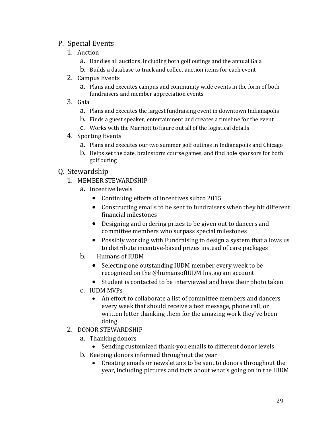#### P. Special Events

- 1. Auction
	- a. Handles all auctions, including both golf outings and the annual Gala
	- b. Builds a database to track and collect auction items for each event
- 2. Campus Events
	- a. Plans and executes campus and community wide events in the form of both fundraisers and member appreciation events
- 3. Gala
	- a. Plans and executes the largest fundraising event in downtown Indianapolis
	- b. Finds a guest speaker, entertainment and creates a timeline for the event
	- c. Works with the Marriott to figure out all of the logistical details
- 4. Sporting Events
	- a. Plans and executes our two summer golf outings in Indianapolis and Chicago
	- b. Helps set the date, brainstorm course games, and find hole sponsors for both golf outing

#### Q. Stewardship

- 1. MEMBER STEWARDSHIP
	- a. Incentive levels
		- Continuing efforts of incentives subco 2015
		- Constructing emails to be sent to fundraisers when they hit different financial milestones
		- Designing and ordering prizes to be given out to dancers and committee members who surpass special milestones
		- Possibly working with Fundraising to design a system that allows us to distribute incentive-based prizes instead of care packages
	- b. Humans of IUDM
		- Selecting one outstanding IUDM member every week to be recognized on the @humansofIUDM Instagram account
		- Student is contacted to be interviewed and have their photo taken
	- c. IUDM MVPs
		- An effort to collaborate a list of committee members and dancers every week that should receive a text message, phone call, or written letter thanking them for the amazing work they've been doing
- 2. DONOR STEWARDSHIP
	- a. Thanking donors
		- Sending customized thank-you emails to different donor levels
	- b. Keeping donors informed throughout the year
		- Creating emails or newsletters to be sent to donors throughout the year, including pictures and facts about what's going on in the IUDM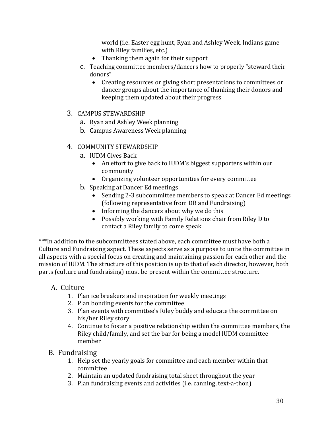world (i.e. Easter egg hunt, Ryan and Ashley Week, Indians game with Riley families, etc.)

- Thanking them again for their support
- c. Teaching committee members/dancers how to properly "steward their donors"
	- Creating resources or giving short presentations to committees or dancer groups about the importance of thanking their donors and keeping them updated about their progress
- 3. CAMPUS STEWARDSHIP
	- a. Ryan and Ashley Week planning
	- b. Campus Awareness Week planning
- 4. COMMUNITY STEWARDSHIP
	- a. IUDM Gives Back
		- An effort to give back to IUDM's biggest supporters within our community
		- Organizing volunteer opportunities for every committee
	- b. Speaking at Dancer Ed meetings
		- Sending 2-3 subcommittee members to speak at Dancer Ed meetings (following representative from DR and Fundraising)
		- Informing the dancers about why we do this
		- Possibly working with Family Relations chair from Riley D to contact a Riley family to come speak

\*\*\*In addition to the subcommittees stated above, each committee must have both a Culture and Fundraising aspect. These aspects serve as a purpose to unite the committee in all aspects with a special focus on creating and maintaining passion for each other and the mission of IUDM. The structure of this position is up to that of each director, however, both parts (culture and fundraising) must be present within the committee structure.

#### A. Culture

- 1. Plan ice breakers and inspiration for weekly meetings
- 2. Plan bonding events for the committee
- 3. Plan events with committee's Riley buddy and educate the committee on his/her Riley story
- 4. Continue to foster a positive relationship within the committee members, the Riley child/family, and set the bar for being a model IUDM committee member
- B. Fundraising
	- 1. Help set the yearly goals for committee and each member within that committee
	- 2. Maintain an updated fundraising total sheet throughout the year
	- 3. Plan fundraising events and activities (i.e. canning, text-a-thon)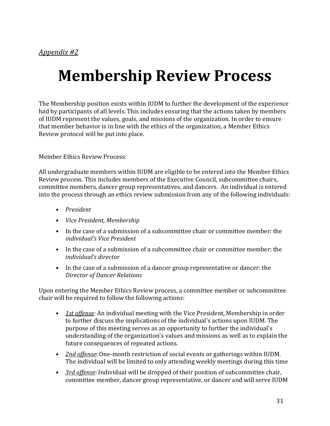# **Membership Review Process**

The Membership position exists within IUDM to further the development of the experience had by participants of all levels. This includes ensuring that the actions taken by members of IUDM represent the values, goals, and missions of the organization. In order to ensure that member behavior is in line with the ethics of the organization, a Member Ethics Review protocol will be put into place.

Member Ethics Review Process:

All undergraduate members within IUDM are eligible to be entered into the Member Ethics Review process. This includes members of the Executive Council, subcommittee chairs, committee members, dancer group representatives, and dancers. An individual is entered into the process through an ethics review submission from any of the following individuals:

- *President*
- *Vice President, Membership*
- In the case of a submission of a subcommittee chair or committee member: the *individual's Vice President*
- In the case of a submission of a subcommittee chair or committee member: the *individual's director*
- In the case of a submission of a dancer group representative or dancer: the *Director of Dancer Relations*

Upon entering the Member Ethics Review process, a committee member or subcommittee chair will be required to follow the following actions:

- *1st offense:* An individual meeting with the Vice President, Membership in order to further discuss the implications of the individual's actions upon IUDM. The purpose of this meeting serves as an opportunity to further the individual's understanding of the organization's values and missions as well as to explain the future consequences of repeated actions.
- *2nd offense*: One-month restriction of social events or gatherings within IUDM. The individual will be limited to only attending weekly meetings during this time
- *3rd offense*: Individual will be dropped of their position of subcommittee chair, committee member, dancer group representative, or dancer and will serve IUDM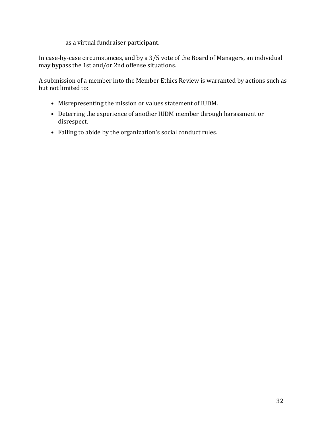as a virtual fundraiser participant.

In case-by-case circumstances, and by a 3/5 vote of the Board of Managers, an individual may bypass the 1st and/or 2nd offense situations.

A submission of a member into the Member Ethics Review is warranted by actions such as but not limited to:

- Misrepresenting the mission or values statement of IUDM.
- Deterring the experience of another IUDM member through harassment or disrespect.
- Failing to abide by the organization's social conduct rules.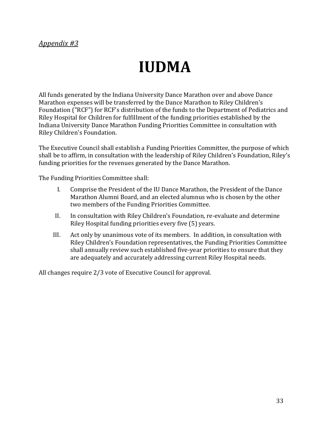#### *Appendix #3*

# **IUDMA**

All funds generated by the Indiana University Dance Marathon over and above Dance Marathon expenses will be transferred by the Dance Marathon to Riley Children's Foundation ("RCF") for RCF's distribution of the funds to the Department of Pediatrics and Riley Hospital for Children for fulfillment of the funding priorities established by the Indiana University Dance Marathon Funding Priorities Committee in consultation with Riley Children's Foundation.

The Executive Council shall establish a Funding Priorities Committee, the purpose of which shall be to affirm, in consultation with the leadership of Riley Children's Foundation, Riley's funding priorities for the revenues generated by the Dance Marathon.

The Funding Priorities Committee shall:

- I. Comprise the President of the IU Dance Marathon, the President of the Dance Marathon Alumni Board, and an elected alumnus who is chosen by the other two members of the Funding Priorities Committee.
- II. In consultation with Riley Children's Foundation, re-evaluate and determine Riley Hospital funding priorities every five (5) years.
- III. Act only by unanimous vote of its members. In addition, in consultation with Riley Children's Foundation representatives, the Funding Priorities Committee shall annually review such established five-year priorities to ensure that they are adequately and accurately addressing current Riley Hospital needs.

All changes require 2/3 vote of Executive Council for approval.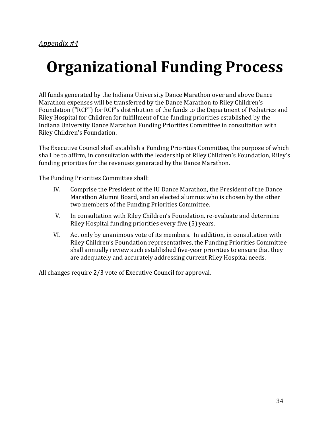# **Organizational Funding Process**

All funds generated by the Indiana University Dance Marathon over and above Dance Marathon expenses will be transferred by the Dance Marathon to Riley Children's Foundation ("RCF") for RCF's distribution of the funds to the Department of Pediatrics and Riley Hospital for Children for fulfillment of the funding priorities established by the Indiana University Dance Marathon Funding Priorities Committee in consultation with Riley Children's Foundation.

The Executive Council shall establish a Funding Priorities Committee, the purpose of which shall be to affirm, in consultation with the leadership of Riley Children's Foundation, Riley's funding priorities for the revenues generated by the Dance Marathon.

The Funding Priorities Committee shall:

- IV. Comprise the President of the IU Dance Marathon, the President of the Dance Marathon Alumni Board, and an elected alumnus who is chosen by the other two members of the Funding Priorities Committee.
- V. In consultation with Riley Children's Foundation, re-evaluate and determine Riley Hospital funding priorities every five (5) years.
- VI. Act only by unanimous vote of its members. In addition, in consultation with Riley Children's Foundation representatives, the Funding Priorities Committee shall annually review such established five-year priorities to ensure that they are adequately and accurately addressing current Riley Hospital needs.

All changes require 2/3 vote of Executive Council for approval.